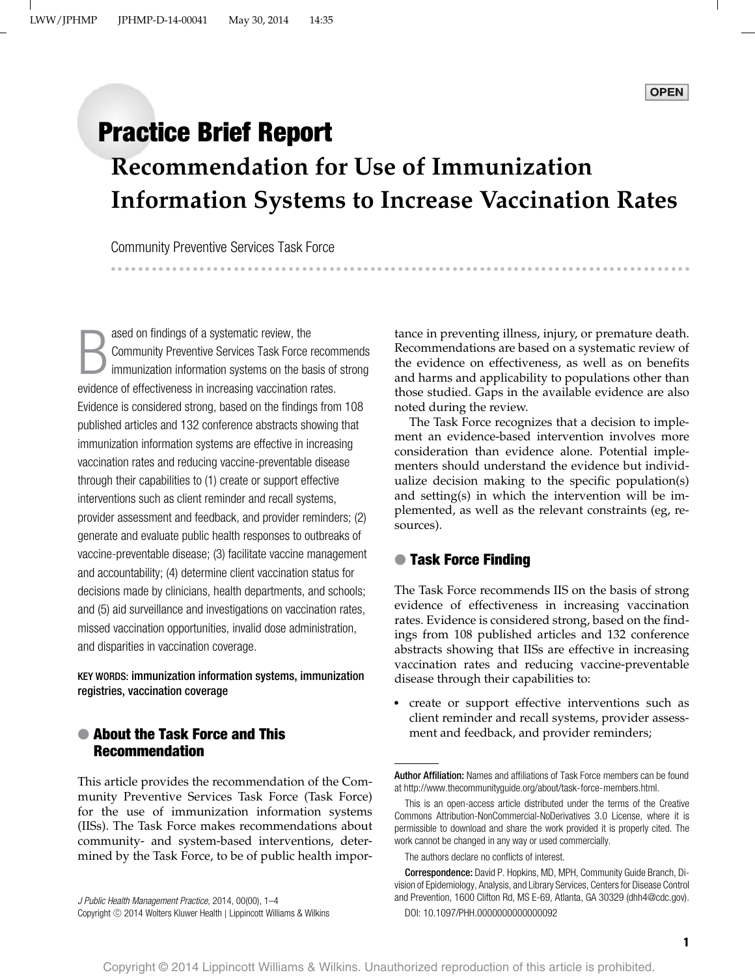## **Practice Brief Report**

# **Recommendation for Use of Immunization Information Systems to Increase Vaccination Rates**

Community Preventive Services Task Force --

--------------------------------

---------------

B ased on findings of a systematic review, the Community Preventive Services Task Force recommends immunization information systems on the basis of strong evidence of effectiveness in increasing vaccination rates. Evidence is considered strong, based on the findings from 108 published articles and 132 conference abstracts showing that immunization information systems are effective in increasing vaccination rates and reducing vaccine-preventable disease through their capabilities to (1) create or support effective interventions such as client reminder and recall systems, provider assessment and feedback, and provider reminders; (2) generate and evaluate public health responses to outbreaks of vaccine-preventable disease; (3) facilitate vaccine management and accountability; (4) determine client vaccination status for decisions made by clinicians, health departments, and schools; and (5) aid surveillance and investigations on vaccination rates, missed vaccination opportunities, invalid dose administration, and disparities in vaccination coverage.

KEY WORDS: immunization information systems, immunization registries, vaccination coverage

#### ● **About the Task Force and This Recommendation**

This article provides the recommendation of the Community Preventive Services Task Force (Task Force) for the use of immunization information systems (IISs). The Task Force makes recommendations about community- and system-based interventions, determined by the Task Force, to be of public health impor-

J Public Health Management Practice, 2014, 00(00), 1–4 Copyright © 2014 Wolters Kluwer Health | Lippincott Williams & Wilkins tance in preventing illness, injury, or premature death. Recommendations are based on a systematic review of the evidence on effectiveness, as well as on benefits and harms and applicability to populations other than those studied. Gaps in the available evidence are also noted during the review.

------------------------------------

The Task Force recognizes that a decision to implement an evidence-based intervention involves more consideration than evidence alone. Potential implementers should understand the evidence but individualize decision making to the specific population(s) and setting(s) in which the intervention will be implemented, as well as the relevant constraints (eg, resources).

#### ● **Task Force Finding**

The Task Force recommends IIS on the basis of strong evidence of effectiveness in increasing vaccination rates. Evidence is considered strong, based on the findings from 108 published articles and 132 conference abstracts showing that IISs are effective in increasing vaccination rates and reducing vaccine-preventable disease through their capabilities to:

- create or support effective interventions such as client reminder and recall systems, provider assessment and feedback, and provider reminders;

Author Affiliation: Names and affiliations of Task Force members can be found at [http://www.thecommunityguide.org/about/task-force-members.html.](http://www.thecommunityguide.org/about/task-force-members.html)

The authors declare no conflicts of interest.

This is an open-access article distributed under the terms of the Creative Commons Attribution-NonCommercial-NoDerivatives 3.0 License, where it is permissible to download and share the work provided it is properly cited. The work cannot be changed in any way or used commercially.

Correspondence: David P. Hopkins, MD, MPH, Community Guide Branch, Division of Epidemiology, Analysis, and Library Services, Centers for Disease Control and Prevention, 1600 Clifton Rd, MS E-69, Atlanta, GA 30329 [\(dhh4@cdc.gov\)](mailto:dhh4@cdc.gov). DOI: 10.1097/PHH.0000000000000092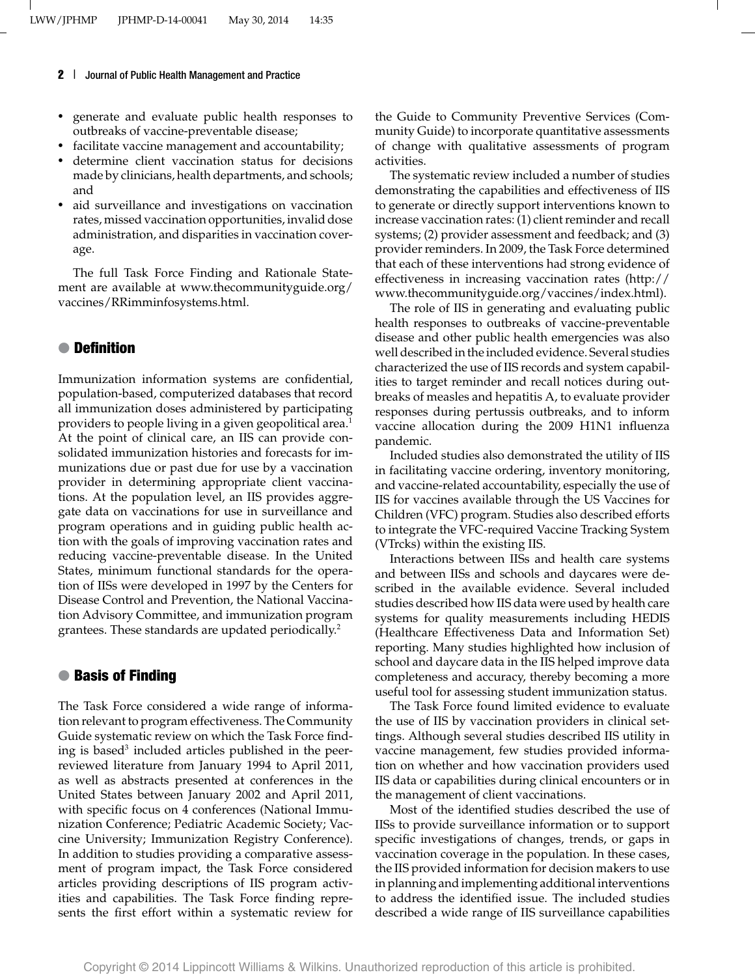- generate and evaluate public health responses to outbreaks of vaccine-preventable disease;
- facilitate vaccine management and accountability;
- determine client vaccination status for decisions made by clinicians, health departments, and schools; and
- aid surveillance and investigations on vaccination rates, missed vaccination opportunities, invalid dose administration, and disparities in vaccination coverage.

The full Task Force Finding and Rationale Statement are available at [www.thecommunityguide.org/](http://www.thecommunityguide.org/vaccines/RRimminfosystems.html) [vaccines/RRimminfosystems.html.](http://www.thecommunityguide.org/vaccines/RRimminfosystems.html)

#### ● **Definition**

Immunization information systems are confidential, population-based, computerized databases that record all immunization doses administered by participating providers to people living in a given geopolitical area.<sup>1</sup> At the point of clinical care, an IIS can provide consolidated immunization histories and forecasts for immunizations due or past due for use by a vaccination provider in determining appropriate client vaccinations. At the population level, an IIS provides aggregate data on vaccinations for use in surveillance and program operations and in guiding public health action with the goals of improving vaccination rates and reducing vaccine-preventable disease. In the United States, minimum functional standards for the operation of IISs were developed in 1997 by the Centers for Disease Control and Prevention, the National Vaccination Advisory Committee, and immunization program grantees. These standards are updated periodically.<sup>2</sup>

#### ● **Basis of Finding**

The Task Force considered a wide range of information relevant to program effectiveness. The Community Guide systematic review on which the Task Force finding is based<sup>3</sup> included articles published in the peerreviewed literature from January 1994 to April 2011, as well as abstracts presented at conferences in the United States between January 2002 and April 2011, with specific focus on 4 conferences (National Immunization Conference; Pediatric Academic Society; Vaccine University; Immunization Registry Conference). In addition to studies providing a comparative assessment of program impact, the Task Force considered articles providing descriptions of IIS program activities and capabilities. The Task Force finding represents the first effort within a systematic review for

the Guide to Community Preventive Services (Community Guide) to incorporate quantitative assessments of change with qualitative assessments of program activities.

The systematic review included a number of studies demonstrating the capabilities and effectiveness of IIS to generate or directly support interventions known to increase vaccination rates: (1) client reminder and recall systems; (2) provider assessment and feedback; and (3) provider reminders. In 2009, the Task Force determined that each of these interventions had strong evidence of effectiveness in increasing vaccination rates [\(http://](http://www.thecommunityguide.org/vaccines/index.html) [www.thecommunityguide.org/vaccines/index.html\)](http://www.thecommunityguide.org/vaccines/index.html).

The role of IIS in generating and evaluating public health responses to outbreaks of vaccine-preventable disease and other public health emergencies was also well described in the included evidence. Several studies characterized the use of IIS records and system capabilities to target reminder and recall notices during outbreaks of measles and hepatitis A, to evaluate provider responses during pertussis outbreaks, and to inform vaccine allocation during the 2009 H1N1 influenza pandemic.

Included studies also demonstrated the utility of IIS in facilitating vaccine ordering, inventory monitoring, and vaccine-related accountability, especially the use of IIS for vaccines available through the US Vaccines for Children (VFC) program. Studies also described efforts to integrate the VFC-required Vaccine Tracking System (VTrcks) within the existing IIS.

Interactions between IISs and health care systems and between IISs and schools and daycares were described in the available evidence. Several included studies described how IIS data were used by health care systems for quality measurements including HEDIS (Healthcare Effectiveness Data and Information Set) reporting. Many studies highlighted how inclusion of school and daycare data in the IIS helped improve data completeness and accuracy, thereby becoming a more useful tool for assessing student immunization status.

The Task Force found limited evidence to evaluate the use of IIS by vaccination providers in clinical settings. Although several studies described IIS utility in vaccine management, few studies provided information on whether and how vaccination providers used IIS data or capabilities during clinical encounters or in the management of client vaccinations.

Most of the identified studies described the use of IISs to provide surveillance information or to support specific investigations of changes, trends, or gaps in vaccination coverage in the population. In these cases, the IIS provided information for decision makers to use in planning and implementing additional interventions to address the identified issue. The included studies described a wide range of IIS surveillance capabilities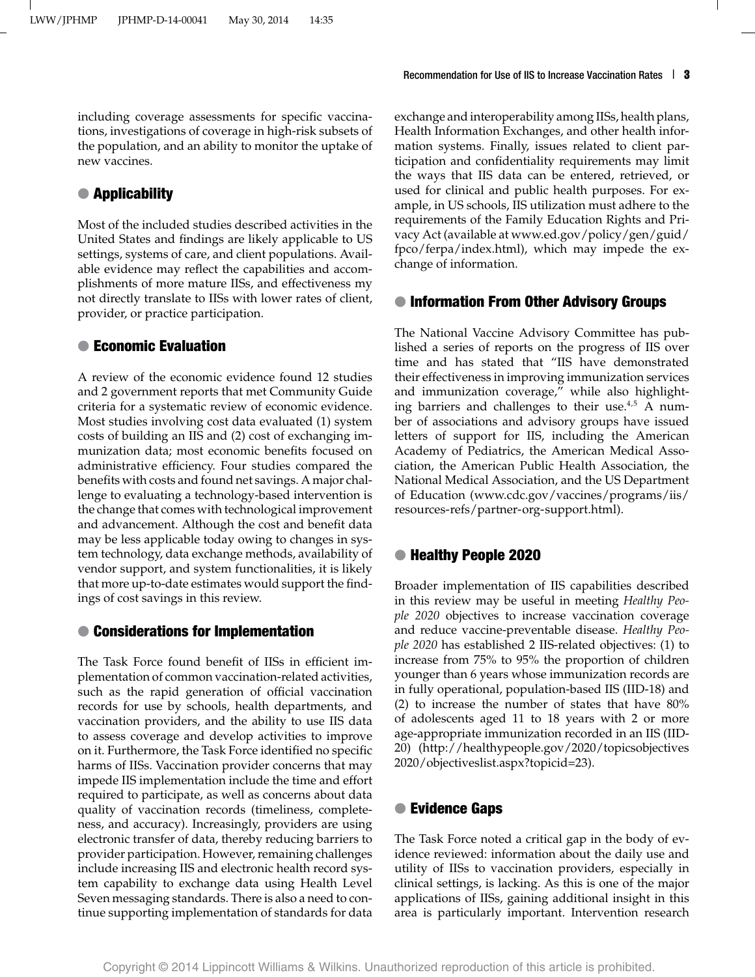including coverage assessments for specific vaccinations, investigations of coverage in high-risk subsets of the population, and an ability to monitor the uptake of new vaccines.

### ● **Applicability**

Most of the included studies described activities in the United States and findings are likely applicable to US settings, systems of care, and client populations. Available evidence may reflect the capabilities and accomplishments of more mature IISs, and effectiveness my not directly translate to IISs with lower rates of client, provider, or practice participation.

#### ● **Economic Evaluation**

A review of the economic evidence found 12 studies and 2 government reports that met Community Guide criteria for a systematic review of economic evidence. Most studies involving cost data evaluated (1) system costs of building an IIS and (2) cost of exchanging immunization data; most economic benefits focused on administrative efficiency. Four studies compared the benefits with costs and found net savings. A major challenge to evaluating a technology-based intervention is the change that comes with technological improvement and advancement. Although the cost and benefit data may be less applicable today owing to changes in system technology, data exchange methods, availability of vendor support, and system functionalities, it is likely that more up-to-date estimates would support the findings of cost savings in this review.

#### ● **Considerations for Implementation**

The Task Force found benefit of IISs in efficient implementation of common vaccination-related activities, such as the rapid generation of official vaccination records for use by schools, health departments, and vaccination providers, and the ability to use IIS data to assess coverage and develop activities to improve on it. Furthermore, the Task Force identified no specific harms of IISs. Vaccination provider concerns that may impede IIS implementation include the time and effort required to participate, as well as concerns about data quality of vaccination records (timeliness, completeness, and accuracy). Increasingly, providers are using electronic transfer of data, thereby reducing barriers to provider participation. However, remaining challenges include increasing IIS and electronic health record system capability to exchange data using Health Level Seven messaging standards. There is also a need to continue supporting implementation of standards for data

exchange and interoperability among IISs, health plans, Health Information Exchanges, and other health information systems. Finally, issues related to client participation and confidentiality requirements may limit the ways that IIS data can be entered, retrieved, or used for clinical and public health purposes. For example, in US schools, IIS utilization must adhere to the requirements of the Family Education Rights and Privacy Act (available at [www.ed.gov/policy/gen/guid/](http://www.ed.gov/policy/gen/guid/fpco/ferpa/index.html) [fpco/ferpa/index.html\)](http://www.ed.gov/policy/gen/guid/fpco/ferpa/index.html), which may impede the exchange of information.

#### ● **Information From Other Advisory Groups**

The National Vaccine Advisory Committee has published a series of reports on the progress of IIS over time and has stated that "IIS have demonstrated their effectiveness in improving immunization services and immunization coverage," while also highlighting barriers and challenges to their use. $4.5$  A number of associations and advisory groups have issued letters of support for IIS, including the American Academy of Pediatrics, the American Medical Association, the American Public Health Association, the National Medical Association, and the US Department of Education [\(www.cdc.gov/vaccines/programs/iis/](http://www.cdc.gov/vaccines/programs/iis/resources-refs/partner-org-support.html) [resources-refs/partner-org-support.html\)](http://www.cdc.gov/vaccines/programs/iis/resources-refs/partner-org-support.html).

#### ● **Healthy People 2020**

Broader implementation of IIS capabilities described in this review may be useful in meeting *Healthy People 2020* objectives to increase vaccination coverage and reduce vaccine-preventable disease. *Healthy People 2020* has established 2 IIS-related objectives: (1) to increase from 75% to 95% the proportion of children younger than 6 years whose immunization records are in fully operational, population-based IIS (IID-18) and (2) to increase the number of states that have 80% of adolescents aged 11 to 18 years with 2 or more age-appropriate immunization recorded in an IIS (IID-20) [\(http://healthypeople.gov/2020/topicsobjectives](http://healthypeople.gov/2020/topicsobjectives2020/objectiveslist.aspx?topicid=23) [2020/objectiveslist.aspx?topicid=23\)](http://healthypeople.gov/2020/topicsobjectives2020/objectiveslist.aspx?topicid=23).

#### ● **Evidence Gaps**

The Task Force noted a critical gap in the body of evidence reviewed: information about the daily use and utility of IISs to vaccination providers, especially in clinical settings, is lacking. As this is one of the major applications of IISs, gaining additional insight in this area is particularly important. Intervention research